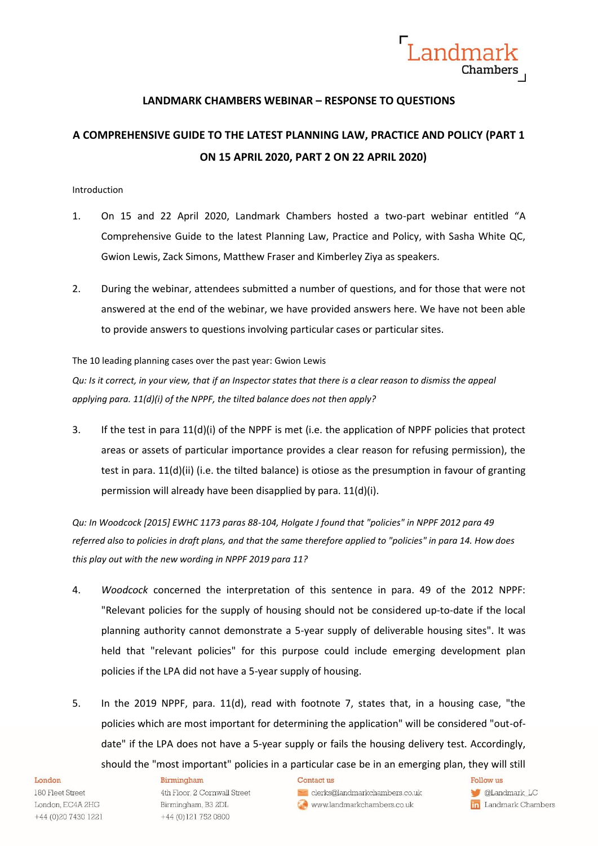

# **LANDMARK CHAMBERS WEBINAR – RESPONSE TO QUESTIONS**

# **A COMPREHENSIVE GUIDE TO THE LATEST PLANNING LAW, PRACTICE AND POLICY (PART 1 ON 15 APRIL 2020, PART 2 ON 22 APRIL 2020)**

# Introduction

- 1. On 15 and 22 April 2020, Landmark Chambers hosted a two-part webinar entitled "A Comprehensive Guide to the latest Planning Law, Practice and Policy, with Sasha White QC, Gwion Lewis, Zack Simons, Matthew Fraser and Kimberley Ziya as speakers.
- 2. During the webinar, attendees submitted a number of questions, and for those that were not answered at the end of the webinar, we have provided answers here. We have not been able to provide answers to questions involving particular cases or particular sites.

# The 10 leading planning cases over the past year: Gwion Lewis

*Qu: Is it correct, in your view, that if an Inspector states that there is a clear reason to dismiss the appeal applying para. 11(d)(i) of the NPPF, the tilted balance does not then apply?*

3. If the test in para 11(d)(i) of the NPPF is met (i.e. the application of NPPF policies that protect areas or assets of particular importance provides a clear reason for refusing permission), the test in para. 11(d)(ii) (i.e. the tilted balance) is otiose as the presumption in favour of granting permission will already have been disapplied by para. 11(d)(i).

*Qu: In Woodcock [2015] EWHC 1173 paras 88-104, Holgate J found that "policies" in NPPF 2012 para 49 referred also to policies in draft plans, and that the same therefore applied to "policies" in para 14. How does this play out with the new wording in NPPF 2019 para 11?*

- 4. *Woodcock* concerned the interpretation of this sentence in para. 49 of the 2012 NPPF: "Relevant policies for the supply of housing should not be considered up-to-date if the local planning authority cannot demonstrate a 5-year supply of deliverable housing sites". It was held that "relevant policies" for this purpose could include emerging development plan policies if the LPA did not have a 5-year supply of housing.
- 5. In the 2019 NPPF, para. 11(d), read with footnote 7, states that, in a housing case, "the policies which are most important for determining the application" will be considered "out-ofdate" if the LPA does not have a 5-year supply or fails the housing delivery test. Accordingly, should the "most important" policies in a particular case be in an emerging plan, they will still

## London

180 Fleet Street London, EC4A 2HG +44 (0) 20 7430 1221

## Birmingham

4th Floor, 2 Cornwall Street Birmingham, B3 2DL +44 (0)121 752 0800

## Contact us

clerks@landmarkchambers.co.uk www.landmarkchambers.co.uk

Follow us **CLandmark\_LC** 

in Landmark Chambers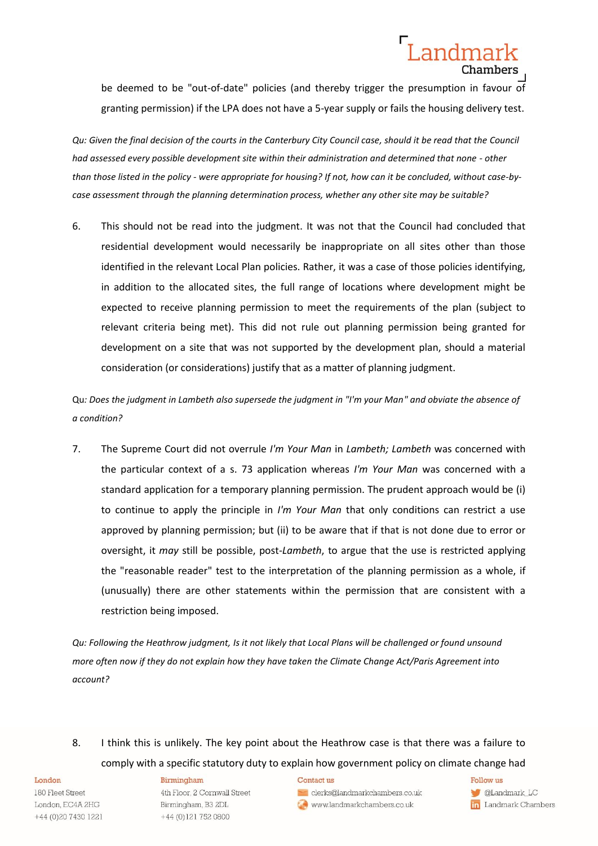# be deemed to be "out-of-date" policies (and thereby trigger the presumption in favour of granting permission) if the LPA does not have a 5-year supply or fails the housing delivery test.

Landmark

Chambers

*Qu: Given the final decision of the courts in the Canterbury City Council case, should it be read that the Council had assessed every possible development site within their administration and determined that none - other than those listed in the policy - were appropriate for housing? If not, how can it be concluded, without case-bycase assessment through the planning determination process, whether any other site may be suitable?*

6. This should not be read into the judgment. It was not that the Council had concluded that residential development would necessarily be inappropriate on all sites other than those identified in the relevant Local Plan policies. Rather, it was a case of those policies identifying, in addition to the allocated sites, the full range of locations where development might be expected to receive planning permission to meet the requirements of the plan (subject to relevant criteria being met). This did not rule out planning permission being granted for development on a site that was not supported by the development plan, should a material consideration (or considerations) justify that as a matter of planning judgment.

Qu*: Does the judgment in Lambeth also supersede the judgment in "I'm your Man" and obviate the absence of a condition?* 

7. The Supreme Court did not overrule *I'm Your Man* in *Lambeth; Lambeth* was concerned with the particular context of a s. 73 application whereas *I'm Your Man* was concerned with a standard application for a temporary planning permission. The prudent approach would be (i) to continue to apply the principle in *I'm Your Man* that only conditions can restrict a use approved by planning permission; but (ii) to be aware that if that is not done due to error or oversight, it *may* still be possible, post-*Lambeth*, to argue that the use is restricted applying the "reasonable reader" test to the interpretation of the planning permission as a whole, if (unusually) there are other statements within the permission that are consistent with a restriction being imposed.

*Qu: Following the Heathrow judgment, Is it not likely that Local Plans will be challenged or found unsound more often now if they do not explain how they have taken the Climate Change Act/Paris Agreement into account?* 

8. I think this is unlikely. The key point about the Heathrow case is that there was a failure to comply with a specific statutory duty to explain how government policy on climate change had

#### London

180 Fleet Street London, EC4A 2HG +44 (0) 20 7430 1221

## Birmingham

4th Floor, 2 Cornwall Street Birmingham, B3 2DL +44 (0)121 752 0800

#### Contact us

clerks@landmarkchambers.co.uk www.landmarkchambers.co.uk

Follow us

**CLandmark\_LC** in Landmark Chambers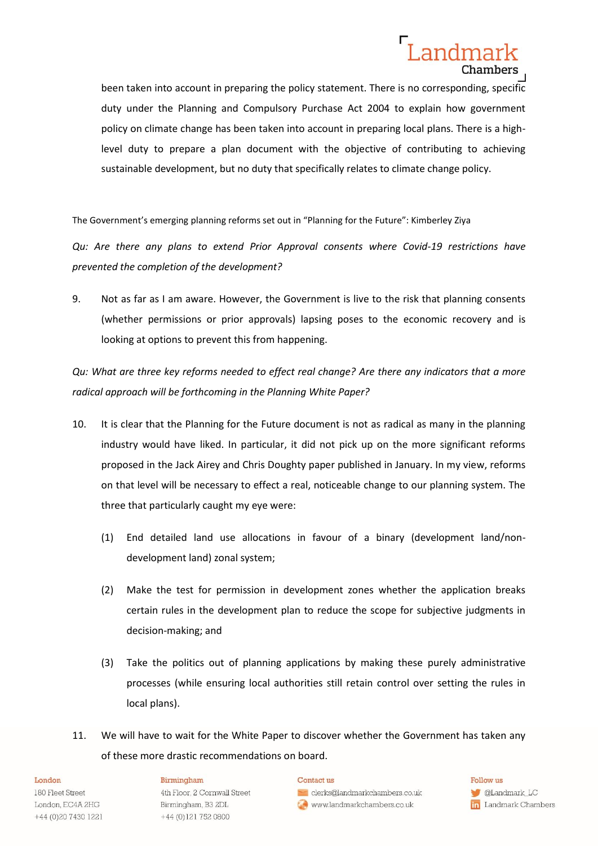# Landmark Chambers

been taken into account in preparing the policy statement. There is no corresponding, specific duty under the Planning and Compulsory Purchase Act 2004 to explain how government policy on climate change has been taken into account in preparing local plans. There is a highlevel duty to prepare a plan document with the objective of contributing to achieving sustainable development, but no duty that specifically relates to climate change policy.

The Government's emerging planning reforms set out in "Planning for the Future": Kimberley Ziya

*Qu: Are there any plans to extend Prior Approval consents where Covid-19 restrictions have prevented the completion of the development?*

9. Not as far as I am aware. However, the Government is live to the risk that planning consents (whether permissions or prior approvals) lapsing poses to the economic recovery and is looking at options to prevent this from happening.

*Qu: What are three key reforms needed to effect real change? Are there any indicators that a more radical approach will be forthcoming in the Planning White Paper?*

- 10. It is clear that the Planning for the Future document is not as radical as many in the planning industry would have liked. In particular, it did not pick up on the more significant reforms proposed in the Jack Airey and Chris Doughty paper published in January. In my view, reforms on that level will be necessary to effect a real, noticeable change to our planning system. The three that particularly caught my eye were:
	- (1) End detailed land use allocations in favour of a binary (development land/nondevelopment land) zonal system;
	- (2) Make the test for permission in development zones whether the application breaks certain rules in the development plan to reduce the scope for subjective judgments in decision-making; and
	- (3) Take the politics out of planning applications by making these purely administrative processes (while ensuring local authorities still retain control over setting the rules in local plans).
- 11. We will have to wait for the White Paper to discover whether the Government has taken any of these more drastic recommendations on board.

## London

180 Fleet Street London, EC4A 2HG +44 (0) 20 7430 1221

## Birmingham

4th Floor, 2 Cornwall Street Birmingham, B3 2DL +44 (0)121 752 0800

#### Contact us

clerks@landmarkchambers.co.uk www.landmarkchambers.co.uk

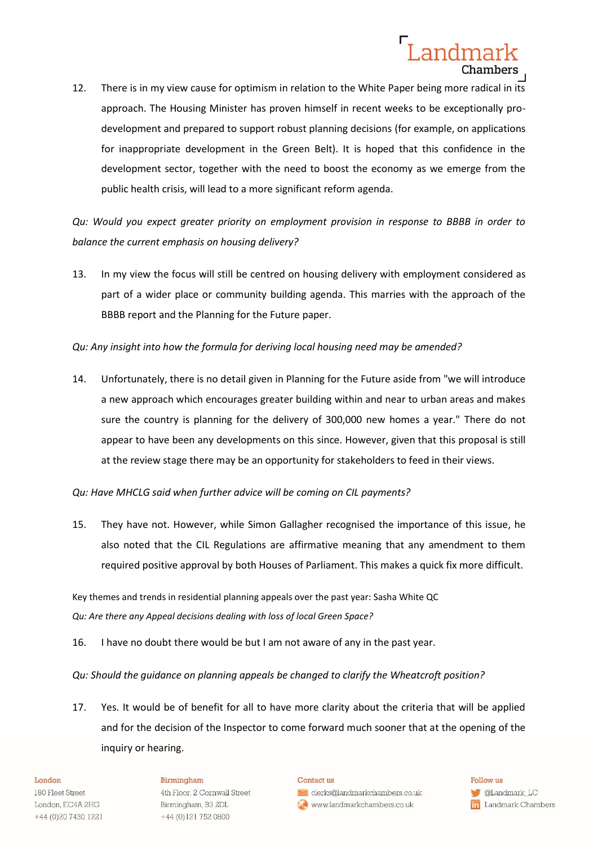# Landmark **Chambers**

12. There is in my view cause for optimism in relation to the White Paper being more radical in its approach. The Housing Minister has proven himself in recent weeks to be exceptionally prodevelopment and prepared to support robust planning decisions (for example, on applications for inappropriate development in the Green Belt). It is hoped that this confidence in the development sector, together with the need to boost the economy as we emerge from the public health crisis, will lead to a more significant reform agenda.

*Qu: Would you expect greater priority on employment provision in response to BBBB in order to balance the current emphasis on housing delivery?*

13. In my view the focus will still be centred on housing delivery with employment considered as part of a wider place or community building agenda. This marries with the approach of the BBBB report and the Planning for the Future paper.

# *Qu: Any insight into how the formula for deriving local housing need may be amended?*

14. Unfortunately, there is no detail given in Planning for the Future aside from "we will introduce a new approach which encourages greater building within and near to urban areas and makes sure the country is planning for the delivery of 300,000 new homes a year." There do not appear to have been any developments on this since. However, given that this proposal is still at the review stage there may be an opportunity for stakeholders to feed in their views.

# *Qu: Have MHCLG said when further advice will be coming on CIL payments?*

15. They have not. However, while Simon Gallagher recognised the importance of this issue, he also noted that the CIL Regulations are affirmative meaning that any amendment to them required positive approval by both Houses of Parliament. This makes a quick fix more difficult.

Key themes and trends in residential planning appeals over the past year: Sasha White QC *Qu: Are there any Appeal decisions dealing with loss of local Green Space?*

16. I have no doubt there would be but I am not aware of any in the past year.

# *Qu: Should the guidance on planning appeals be changed to clarify the Wheatcroft position?*

17. Yes. It would be of benefit for all to have more clarity about the criteria that will be applied and for the decision of the Inspector to come forward much sooner that at the opening of the inquiry or hearing.

## London

180 Fleet Street London, EC4A 2HG +44 (0) 20 7430 1221

## Birmingham

4th Floor, 2 Cornwall Street Birmingham, B3 2DL +44 (0)121 752 0800

#### Contact us

clerks@landmarkchambers.co.uk www.landmarkchambers.co.uk

Follow us **C**Landmark\_LC in Landmark Chambers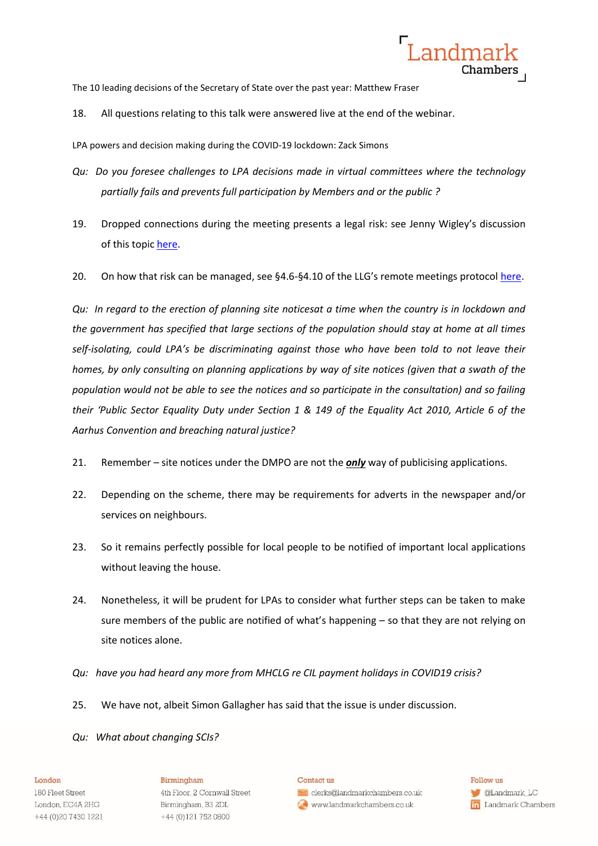

The 10 leading decisions of the Secretary of State over the past year: Matthew Fraser

18. All questions relating to this talk were answered live at the end of the webinar.

LPA powers and decision making during the COVID-19 lockdown: Zack Simons

- *Qu: Do you foresee challenges to LPA decisions made in virtual committees where the technology partially fails and prevents full participation by Members and or the public ?*
- 19. Dropped connections during the meeting presents a legal risk: see Jenny Wigley's discussion of this topic [here.](https://youtu.be/Mc_gdFdY60k?t=2940)
- 20. On how that risk can be managed, see §4.6-§4.10 of the LLG's remote meetings protocol [here.](https://s3.amazonaws.com/lawingov_production/system/redactor_assets/documents/2402/Standing_Orders_ADSO_LLG_.VFdocx.pdf)

*Qu: In regard to the erection of planning site noticesat a time when the country is in lockdown and the government has specified that large sections of the population should stay at home at all times self-isolating, could LPA's be discriminating against those who have been told to not leave their homes, by only consulting on planning applications by way of site notices (given that a swath of the population would not be able to see the notices and so participate in the consultation) and so failing their 'Public Sector Equality Duty under Section 1 & 149 of the Equality Act 2010, Article 6 of the Aarhus Convention and breaching natural justice?*

- 21. Remember site notices under the DMPO are not the *only* way of publicising applications.
- 22. Depending on the scheme, there may be requirements for adverts in the newspaper and/or services on neighbours.
- 23. So it remains perfectly possible for local people to be notified of important local applications without leaving the house.
- 24. Nonetheless, it will be prudent for LPAs to consider what further steps can be taken to make sure members of the public are notified of what's happening – so that they are not relying on site notices alone.
- *Qu: have you had heard any more from MHCLG re CIL payment holidays in COVID19 crisis?*
- 25. We have not, albeit Simon Gallagher has said that the issue is under discussion.
- *Qu: What about changing SCIs?*

## London

180 Fleet Street London, EC4A 2HG +44 (0) 20 7430 1221

## Birmingham

4th Floor, 2 Cornwall Street Birmingham, B3 2DL +44 (0)121 752 0800

#### Contact us

clerks@landmarkchambers.co.uk www.landmarkchambers.co.uk

Follow us **C**Landmark\_LC in Landmark Chambers